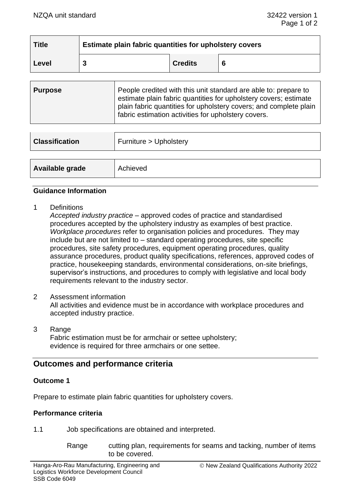| <b>Title</b> | Estimate plain fabric quantities for upholstery covers |                |   |
|--------------|--------------------------------------------------------|----------------|---|
| Level        |                                                        | <b>Credits</b> | 6 |

| <b>Purpose</b> | People credited with this unit standard are able to: prepare to<br>estimate plain fabric quantities for upholstery covers; estimate<br>plain fabric quantities for upholstery covers; and complete plain<br>fabric estimation activities for upholstery covers. |
|----------------|-----------------------------------------------------------------------------------------------------------------------------------------------------------------------------------------------------------------------------------------------------------------|
|                |                                                                                                                                                                                                                                                                 |

| <b>Classification</b> | Furniture > Upholstery |
|-----------------------|------------------------|
|                       |                        |
| Available grade       | Achieved               |

#### **Guidance Information**

1 Definitions

*Accepted industry practice* – approved codes of practice and standardised procedures accepted by the upholstery industry as examples of best practice. *Workplace procedures* refer to organisation policies and procedures. They may include but are not limited to – standard operating procedures, site specific procedures, site safety procedures, equipment operating procedures, quality assurance procedures, product quality specifications, references, approved codes of practice, housekeeping standards, environmental considerations, on-site briefings, supervisor's instructions, and procedures to comply with legislative and local body requirements relevant to the industry sector.

2 Assessment information

All activities and evidence must be in accordance with workplace procedures and accepted industry practice.

3 Range Fabric estimation must be for armchair or settee upholstery; evidence is required for three armchairs or one settee.

# **Outcomes and performance criteria**

### **Outcome 1**

Prepare to estimate plain fabric quantities for upholstery covers.

#### **Performance criteria**

1.1 Job specifications are obtained and interpreted.

Range cutting plan, requirements for seams and tacking, number of items to be covered.